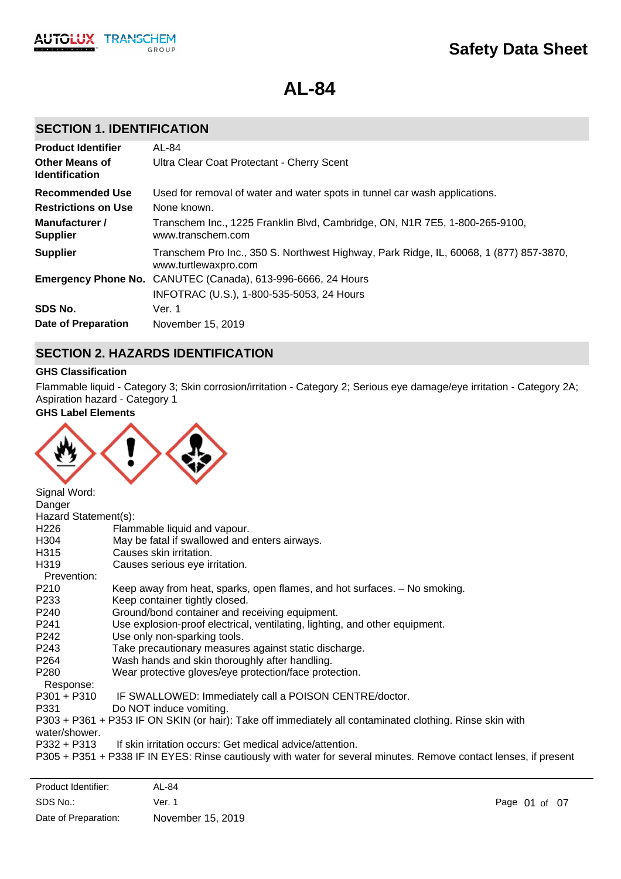**AL-84**

# **SECTION 1. IDENTIFICATION**

**TRANSCHEM** 

GROUP

**AUTOLUX** 

| <b>Product Identifier</b>                      | AL-84                                                                                                          |
|------------------------------------------------|----------------------------------------------------------------------------------------------------------------|
| <b>Other Means of</b><br><b>Identification</b> | Ultra Clear Coat Protectant - Cherry Scent                                                                     |
| <b>Recommended Use</b>                         | Used for removal of water and water spots in tunnel car wash applications.                                     |
| <b>Restrictions on Use</b>                     | None known.                                                                                                    |
| Manufacturer /<br><b>Supplier</b>              | Transchem Inc., 1225 Franklin Blvd, Cambridge, ON, N1R 7E5, 1-800-265-9100,<br>www.transchem.com               |
| <b>Supplier</b>                                | Transchem Pro Inc., 350 S. Northwest Highway, Park Ridge, IL, 60068, 1 (877) 857-3870,<br>www.turtlewaxpro.com |
|                                                | <b>Emergency Phone No.</b> CANUTEC (Canada), 613-996-6666, 24 Hours                                            |
|                                                | INFOTRAC (U.S.), 1-800-535-5053, 24 Hours                                                                      |
| SDS No.                                        | Ver. 1                                                                                                         |
| Date of Preparation                            | November 15, 2019                                                                                              |

## **SECTION 2. HAZARDS IDENTIFICATION**

## **GHS Classification**

Flammable liquid - Category 3; Skin corrosion/irritation - Category 2; Serious eye damage/eye irritation - Category 2A; Aspiration hazard - Category 1

**GHS Label Elements**



| Signal Word:<br>Danger |                                                                                                                   |
|------------------------|-------------------------------------------------------------------------------------------------------------------|
| Hazard Statement(s):   |                                                                                                                   |
| H <sub>226</sub>       | Flammable liquid and vapour.                                                                                      |
| H304                   | May be fatal if swallowed and enters airways.                                                                     |
| H315                   | Causes skin irritation.                                                                                           |
| H319                   | Causes serious eye irritation.                                                                                    |
| Prevention:            |                                                                                                                   |
| P210                   | Keep away from heat, sparks, open flames, and hot surfaces. - No smoking.                                         |
| P233                   | Keep container tightly closed.                                                                                    |
| P240                   | Ground/bond container and receiving equipment.                                                                    |
| P241                   | Use explosion-proof electrical, ventilating, lighting, and other equipment.                                       |
| P242                   | Use only non-sparking tools.                                                                                      |
| P243                   | Take precautionary measures against static discharge.                                                             |
| P264                   | Wash hands and skin thoroughly after handling.                                                                    |
| P280                   | Wear protective gloves/eye protection/face protection.                                                            |
| Response:              |                                                                                                                   |
| $P301 + P310$          | IF SWALLOWED: Immediately call a POISON CENTRE/doctor.                                                            |
| P331                   | Do NOT induce vomiting.                                                                                           |
|                        | P303 + P361 + P353 IF ON SKIN (or hair): Take off immediately all contaminated clothing. Rinse skin with          |
| water/shower.          |                                                                                                                   |
| P332 + P313            | If skin irritation occurs: Get medical advice/attention.                                                          |
|                        | P305 + P351 + P338 IF IN EYES: Rinse cautiously with water for several minutes. Remove contact lenses, if present |
|                        |                                                                                                                   |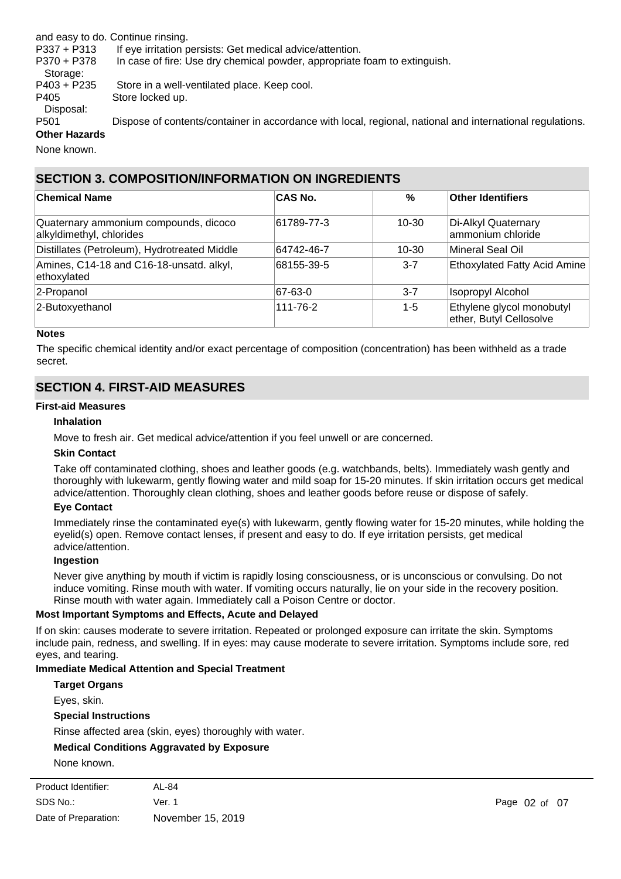and easy to do. Continue rinsing.

P337 + P313 If eye irritation persists: Get medical advice/attention.

P370 + P378 In case of fire: Use dry chemical powder, appropriate foam to extinguish.

Storage: P403 + P235 Store in a well-ventilated place. Keep cool. P405 Store locked up.

Disposal:

P501 Dispose of contents/container in accordance with local, regional, national and international regulations. **Other Hazards**

None known.

# **SECTION 3. COMPOSITION/INFORMATION ON INGREDIENTS**

| <b>Chemical Name</b>                                              | <b>CAS No.</b> | %       | <b>Other Identifiers</b>                             |
|-------------------------------------------------------------------|----------------|---------|------------------------------------------------------|
| Quaternary ammonium compounds, dicoco<br>alkyldimethyl, chlorides | 61789-77-3     | 10-30   | Di-Alkyl Quaternary<br>ammonium chloride             |
| Distillates (Petroleum), Hydrotreated Middle                      | 64742-46-7     | 10-30   | Mineral Seal Oil                                     |
| Amines, C14-18 and C16-18-unsatd. alkyl,<br>ethoxylated           | 68155-39-5     | $3 - 7$ | <b>Ethoxylated Fatty Acid Amine</b>                  |
| 2-Propanol                                                        | 67-63-0        | $3 - 7$ | Isopropyl Alcohol                                    |
| 2-Butoxyethanol                                                   | 111-76-2       | $1 - 5$ | Ethylene glycol monobutyl<br>ether, Butyl Cellosolve |

### **Notes**

The specific chemical identity and/or exact percentage of composition (concentration) has been withheld as a trade secret.

# **SECTION 4. FIRST-AID MEASURES**

### **First-aid Measures**

### **Inhalation**

Move to fresh air. Get medical advice/attention if you feel unwell or are concerned.

## **Skin Contact**

Take off contaminated clothing, shoes and leather goods (e.g. watchbands, belts). Immediately wash gently and thoroughly with lukewarm, gently flowing water and mild soap for 15-20 minutes. If skin irritation occurs get medical advice/attention. Thoroughly clean clothing, shoes and leather goods before reuse or dispose of safely.

## **Eye Contact**

Immediately rinse the contaminated eye(s) with lukewarm, gently flowing water for 15-20 minutes, while holding the eyelid(s) open. Remove contact lenses, if present and easy to do. If eye irritation persists, get medical advice/attention.

### **Ingestion**

Never give anything by mouth if victim is rapidly losing consciousness, or is unconscious or convulsing. Do not induce vomiting. Rinse mouth with water. If vomiting occurs naturally, lie on your side in the recovery position. Rinse mouth with water again. Immediately call a Poison Centre or doctor.

## **Most Important Symptoms and Effects, Acute and Delayed**

If on skin: causes moderate to severe irritation. Repeated or prolonged exposure can irritate the skin. Symptoms include pain, redness, and swelling. If in eyes: may cause moderate to severe irritation. Symptoms include sore, red eyes, and tearing.

## **Immediate Medical Attention and Special Treatment**

| <b>Target Organs</b>                                    |  |
|---------------------------------------------------------|--|
| Eyes, skin.                                             |  |
| <b>Special Instructions</b>                             |  |
| Rinse affected area (skin, eyes) thoroughly with water. |  |
| <b>Medical Conditions Aggravated by Exposure</b>        |  |
| None known                                              |  |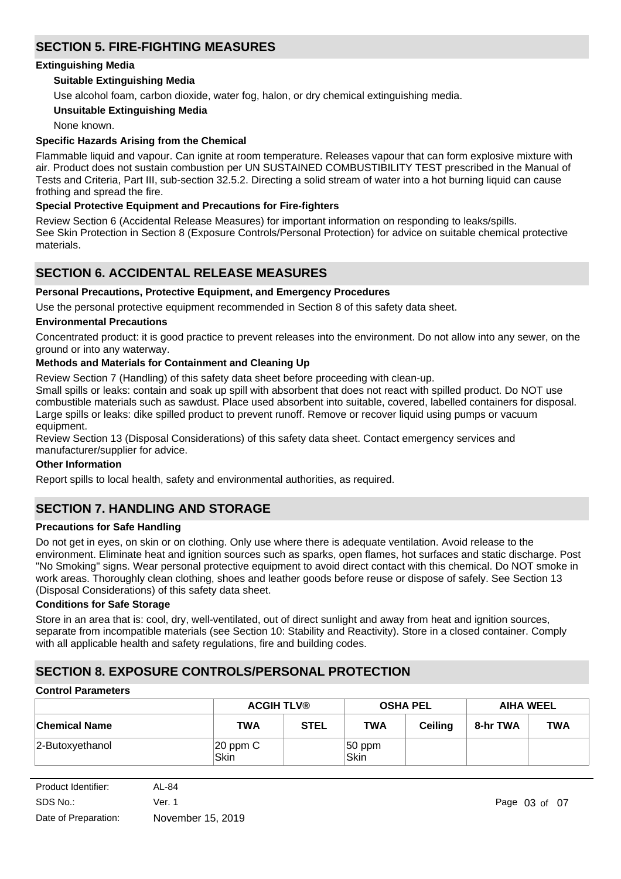# **SECTION 5. FIRE-FIGHTING MEASURES**

### **Extinguishing Media**

## **Suitable Extinguishing Media**

Use alcohol foam, carbon dioxide, water fog, halon, or dry chemical extinguishing media.

### **Unsuitable Extinguishing Media**

None known.

## **Specific Hazards Arising from the Chemical**

Flammable liquid and vapour. Can ignite at room temperature. Releases vapour that can form explosive mixture with air. Product does not sustain combustion per UN SUSTAINED COMBUSTIBILITY TEST prescribed in the Manual of Tests and Criteria, Part III, sub-section 32.5.2. Directing a solid stream of water into a hot burning liquid can cause frothing and spread the fire.

### **Special Protective Equipment and Precautions for Fire-fighters**

Review Section 6 (Accidental Release Measures) for important information on responding to leaks/spills. See Skin Protection in Section 8 (Exposure Controls/Personal Protection) for advice on suitable chemical protective materials.

# **SECTION 6. ACCIDENTAL RELEASE MEASURES**

## **Personal Precautions, Protective Equipment, and Emergency Procedures**

Use the personal protective equipment recommended in Section 8 of this safety data sheet.

### **Environmental Precautions**

Concentrated product: it is good practice to prevent releases into the environment. Do not allow into any sewer, on the ground or into any waterway.

### **Methods and Materials for Containment and Cleaning Up**

Review Section 7 (Handling) of this safety data sheet before proceeding with clean-up.

Small spills or leaks: contain and soak up spill with absorbent that does not react with spilled product. Do NOT use combustible materials such as sawdust. Place used absorbent into suitable, covered, labelled containers for disposal. Large spills or leaks: dike spilled product to prevent runoff. Remove or recover liquid using pumps or vacuum equipment.

Review Section 13 (Disposal Considerations) of this safety data sheet. Contact emergency services and manufacturer/supplier for advice.

### **Other Information**

Report spills to local health, safety and environmental authorities, as required.

# **SECTION 7. HANDLING AND STORAGE**

### **Precautions for Safe Handling**

Do not get in eyes, on skin or on clothing. Only use where there is adequate ventilation. Avoid release to the environment. Eliminate heat and ignition sources such as sparks, open flames, hot surfaces and static discharge. Post "No Smoking" signs. Wear personal protective equipment to avoid direct contact with this chemical. Do NOT smoke in work areas. Thoroughly clean clothing, shoes and leather goods before reuse or dispose of safely. See Section 13 (Disposal Considerations) of this safety data sheet.

### **Conditions for Safe Storage**

Store in an area that is: cool, dry, well-ventilated, out of direct sunlight and away from heat and ignition sources, separate from incompatible materials (see Section 10: Stability and Reactivity). Store in a closed container. Comply with all applicable health and safety regulations, fire and building codes.

# **SECTION 8. EXPOSURE CONTROLS/PERSONAL PROTECTION**

## **Control Parameters**

|                      | <b>ACGIH TLV®</b>     |             | <b>OSHA PEL</b>                |                | <b>AIHA WEEL</b> |            |
|----------------------|-----------------------|-------------|--------------------------------|----------------|------------------|------------|
| <b>Chemical Name</b> | TWA                   | <b>STEL</b> | <b>TWA</b>                     | <b>Ceiling</b> | 8-hr TWA         | <b>TWA</b> |
| 2-Butoxyethanol      | $ 20$ ppm $C$<br>Skin |             | $ 50$ ppm<br><sup>l</sup> Skin |                |                  |            |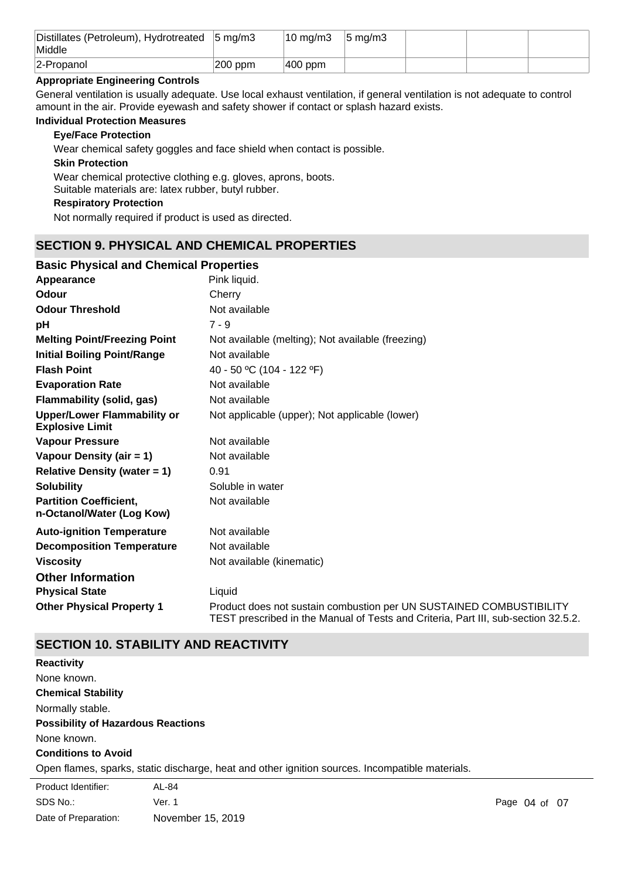| Distillates (Petroleum), Hydrotreated 5 mg/m3<br>Middle |         | $10 \text{ mg/m}$ | $5 \text{ mg/m}$ |  |  |
|---------------------------------------------------------|---------|-------------------|------------------|--|--|
| 2-Propanol                                              | 200 ppm | $ 400$ ppm        |                  |  |  |

## **Appropriate Engineering Controls**

General ventilation is usually adequate. Use local exhaust ventilation, if general ventilation is not adequate to control amount in the air. Provide eyewash and safety shower if contact or splash hazard exists.

### **Individual Protection Measures**

## **Eye/Face Protection**

Wear chemical safety goggles and face shield when contact is possible.

### **Skin Protection**

Wear chemical protective clothing e.g. gloves, aprons, boots. Suitable materials are: latex rubber, butyl rubber.

### **Respiratory Protection**

Not normally required if product is used as directed.

## **SECTION 9. PHYSICAL AND CHEMICAL PROPERTIES**

## **pH** 7 - 9 **Appearance** Pink liquid. **Partition Coefficient, n-Octanol/Water (Log Kow)** Not available **Odour** Cherry **Vapour Pressure** Not available **Odour Threshold** Not available **Vapour Density (air = 1)** Not available **Initial Boiling Point/Range** Not available **Evaporation Rate** Not available **Flash Point** 40 - 50 °C (104 - 122 °F) **Melting Point/Freezing Point** Not available (melting); Not available (freezing) **Relative Density (water = 1)** 0.91 **Upper/Lower Flammability or Explosive Limit** Not applicable (upper); Not applicable (lower) **Solubility** Soluble in water **Auto-ignition Temperature** Not available **Decomposition Temperature** Not available **Viscosity Not available (kinematic) Not available (kinematic) Other Physical Property 1** Product does not sustain combustion per UN SUSTAINED COMBUSTIBILITY TEST prescribed in the Manual of Tests and Criteria, Part III, sub-section 32.5.2. **Basic Physical and Chemical Properties Physical State Liquid Other Information Flammability (solid, gas)** Not available

# **SECTION 10. STABILITY AND REACTIVITY**

| <b>Reactivity</b>                         |                                                                                                 |
|-------------------------------------------|-------------------------------------------------------------------------------------------------|
| None known.                               |                                                                                                 |
| <b>Chemical Stability</b>                 |                                                                                                 |
| Normally stable.                          |                                                                                                 |
| <b>Possibility of Hazardous Reactions</b> |                                                                                                 |
| None known.                               |                                                                                                 |
| <b>Conditions to Avoid</b>                |                                                                                                 |
|                                           | Open flames, sparks, static discharge, heat and other ignition sources. Incompatible materials. |
| Product Identifier:                       | AL-84                                                                                           |

| SDS No.:             | Ver. 1            |
|----------------------|-------------------|
| Date of Preparation: | November 15, 2019 |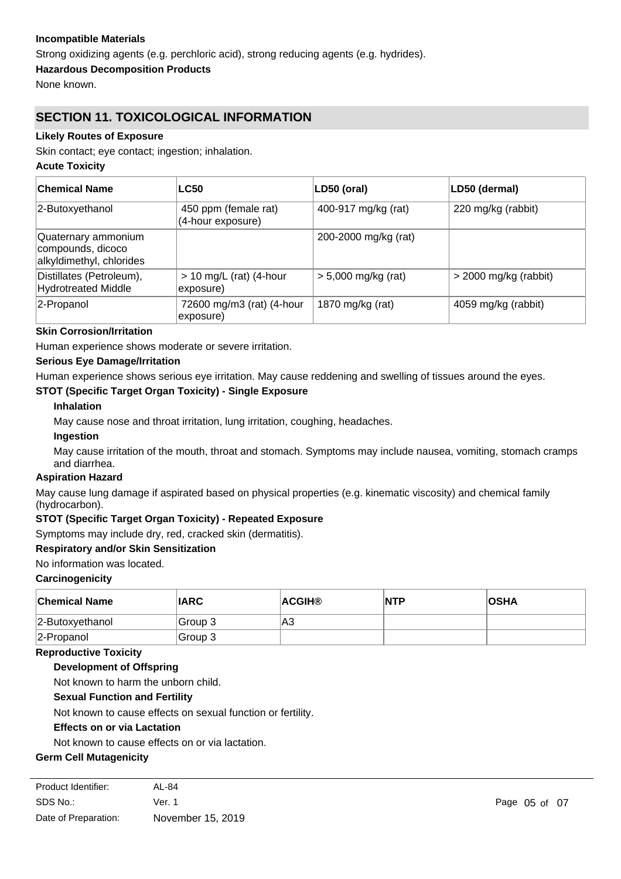## **Incompatible Materials**

Strong oxidizing agents (e.g. perchloric acid), strong reducing agents (e.g. hydrides).

**Hazardous Decomposition Products**

None known.

# **SECTION 11. TOXICOLOGICAL INFORMATION**

## **Likely Routes of Exposure**

Skin contact; eye contact; ingestion; inhalation.

### **Acute Toxicity**

| ∣Chemical Name                                                       | <b>LC50</b>                               | LD50 (oral)           | LD50 (dermal)           |
|----------------------------------------------------------------------|-------------------------------------------|-----------------------|-------------------------|
| 2-Butoxyethanol                                                      | 450 ppm (female rat)<br>(4-hour exposure) | 400-917 mg/kg (rat)   | 220 mg/kg (rabbit)      |
| Quaternary ammonium<br>compounds, dicoco<br>alkyldimethyl, chlorides |                                           | 200-2000 mg/kg (rat)  |                         |
| Distillates (Petroleum),<br><b>Hydrotreated Middle</b>               | $> 10$ mg/L (rat) (4-hour<br>exposure)    | $> 5,000$ mg/kg (rat) | $>$ 2000 mg/kg (rabbit) |
| 2-Propanol                                                           | 72600 mg/m3 (rat) (4-hour<br>exposure)    | 1870 mg/kg (rat)      | 4059 mg/kg (rabbit)     |

## **Skin Corrosion/Irritation**

Human experience shows moderate or severe irritation.

## **Serious Eye Damage/Irritation**

Human experience shows serious eye irritation. May cause reddening and swelling of tissues around the eyes.

## **STOT (Specific Target Organ Toxicity) - Single Exposure**

## **Inhalation**

May cause nose and throat irritation, lung irritation, coughing, headaches.

**Ingestion**

May cause irritation of the mouth, throat and stomach. Symptoms may include nausea, vomiting, stomach cramps and diarrhea.

### **Aspiration Hazard**

May cause lung damage if aspirated based on physical properties (e.g. kinematic viscosity) and chemical family (hydrocarbon).

## **STOT (Specific Target Organ Toxicity) - Repeated Exposure**

Symptoms may include dry, red, cracked skin (dermatitis).

### **Respiratory and/or Skin Sensitization**

### No information was located.

### **Carcinogenicity**

| <b>Chemical Name</b> | <b>IARC</b> | <b>ACGIH®</b> | INTP | <b>OSHA</b> |
|----------------------|-------------|---------------|------|-------------|
| $ 2$ -Butoxyethanol  | ∣Group 3    | A3            |      |             |
| 2-Propanol           | Group 3     |               |      |             |

### **Reproductive Toxicity**

## **Development of Offspring**

Not known to harm the unborn child.

## **Sexual Function and Fertility**

Not known to cause effects on sexual function or fertility.

### **Effects on or via Lactation**

Not known to cause effects on or via lactation.

### **Germ Cell Mutagenicity**

| Product Identifier:  | AL-84             |
|----------------------|-------------------|
| SDS No.:             | Ver. 1            |
| Date of Preparation: | November 15, 2019 |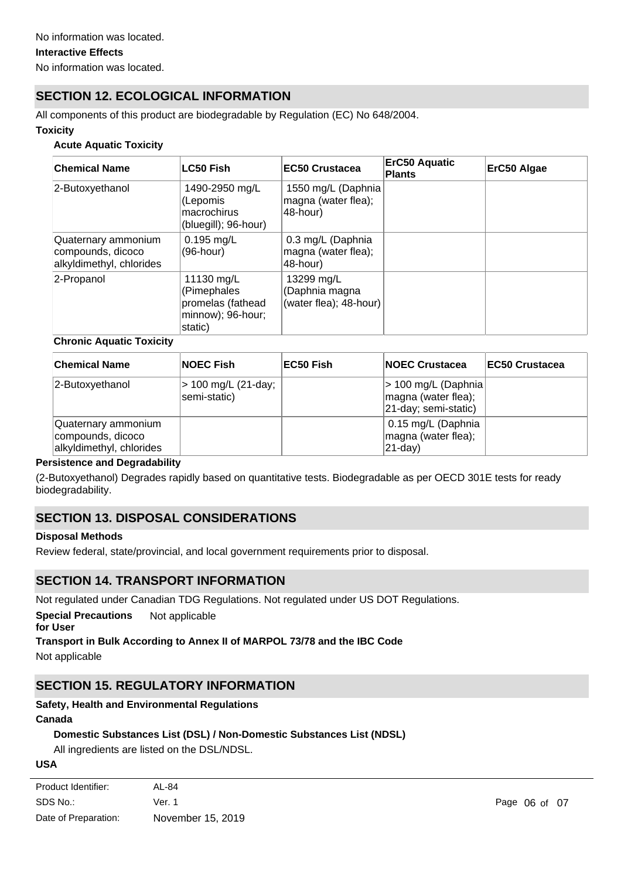# **SECTION 12. ECOLOGICAL INFORMATION**

All components of this product are biodegradable by Regulation (EC) No 648/2004.

### **Toxicity**

### **Acute Aquatic Toxicity**

| <b>Chemical Name</b>                                                 | <b>LC50 Fish</b>                                                               | <b>EC50 Crustacea</b>                                 | <b>ErC50 Aquatic</b><br><b>Plants</b> | ErC50 Algae |
|----------------------------------------------------------------------|--------------------------------------------------------------------------------|-------------------------------------------------------|---------------------------------------|-------------|
| 2-Butoxyethanol                                                      | 1490-2950 mg/L<br>(Lepomis<br>macrochirus<br>(bluegill); 96-hour)              | 1550 mg/L (Daphnia<br>magna (water flea);<br>48-hour) |                                       |             |
| Quaternary ammonium<br>compounds, dicoco<br>alkyldimethyl, chlorides | $0.195$ mg/L<br>(96-hour)                                                      | 0.3 mg/L (Daphnia<br>magna (water flea);<br>48-hour)  |                                       |             |
| 2-Propanol                                                           | 11130 mg/L<br>(Pimephales<br>promelas (fathead<br>minnow); 96-hour;<br>static) | 13299 mg/L<br>Daphnia magna<br>(water flea); 48-hour) |                                       |             |

### **Chronic Aquatic Toxicity**

| <b>Chemical Name</b>                                                 | <b>NOEC Fish</b>                    | EC50 Fish | <b>INOEC Crustacea</b>                                              | <b>IEC50 Crustacea</b> |
|----------------------------------------------------------------------|-------------------------------------|-----------|---------------------------------------------------------------------|------------------------|
| 2-Butoxyethanol                                                      | > 100 mg/L (21-day;<br>semi-static) |           | > 100 mg/L (Daphnia)<br>magna (water flea);<br>21-day; semi-static) |                        |
| Quaternary ammonium<br>compounds, dicoco<br>alkyldimethyl, chlorides |                                     |           | 0.15 mg/L (Daphnia<br>magna (water flea);<br>$ 21$ -day)            |                        |

## **Persistence and Degradability**

(2-Butoxyethanol) Degrades rapidly based on quantitative tests. Biodegradable as per OECD 301E tests for ready biodegradability.

# **SECTION 13. DISPOSAL CONSIDERATIONS**

## **Disposal Methods**

Review federal, state/provincial, and local government requirements prior to disposal.

# **SECTION 14. TRANSPORT INFORMATION**

Not regulated under Canadian TDG Regulations. Not regulated under US DOT Regulations.

**Special Precautions** Not applicable

**for User**

## **Transport in Bulk According to Annex II of MARPOL 73/78 and the IBC Code**

Not applicable

# **SECTION 15. REGULATORY INFORMATION**

## **Safety, Health and Environmental Regulations**

### **Canada**

## **Domestic Substances List (DSL) / Non-Domestic Substances List (NDSL)**

All ingredients are listed on the DSL/NDSL.

# **USA**

| AL-84             |
|-------------------|
| Ver. 1            |
| November 15, 2019 |
|                   |